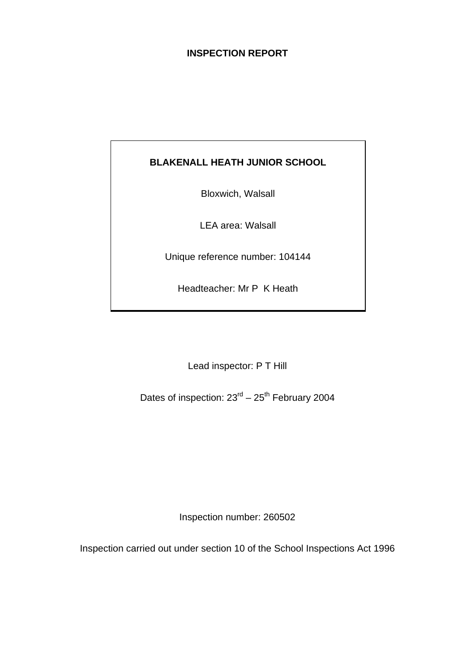# **INSPECTION REPORT**

# **BLAKENALL HEATH JUNIOR SCHOOL**

Bloxwich, Walsall

LEA area: Walsall

Unique reference number: 104144

Headteacher: Mr P K Heath

Lead inspector: P T Hill

Dates of inspection:  $23<sup>rd</sup> - 25<sup>th</sup>$  February 2004

Inspection number: 260502

Inspection carried out under section 10 of the School Inspections Act 1996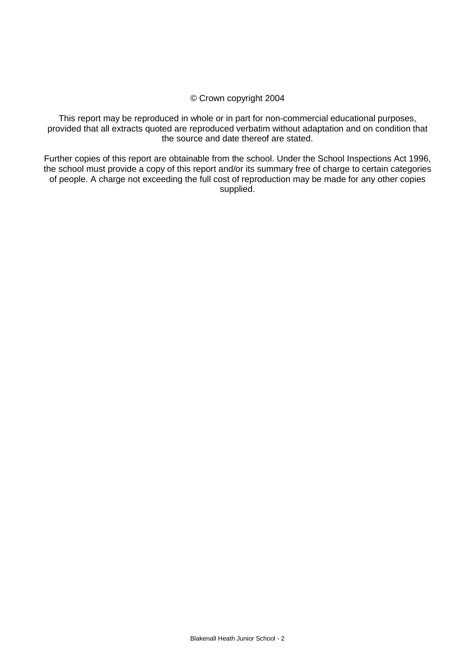#### © Crown copyright 2004

This report may be reproduced in whole or in part for non-commercial educational purposes, provided that all extracts quoted are reproduced verbatim without adaptation and on condition that the source and date thereof are stated.

Further copies of this report are obtainable from the school. Under the School Inspections Act 1996, the school must provide a copy of this report and/or its summary free of charge to certain categories of people. A charge not exceeding the full cost of reproduction may be made for any other copies supplied.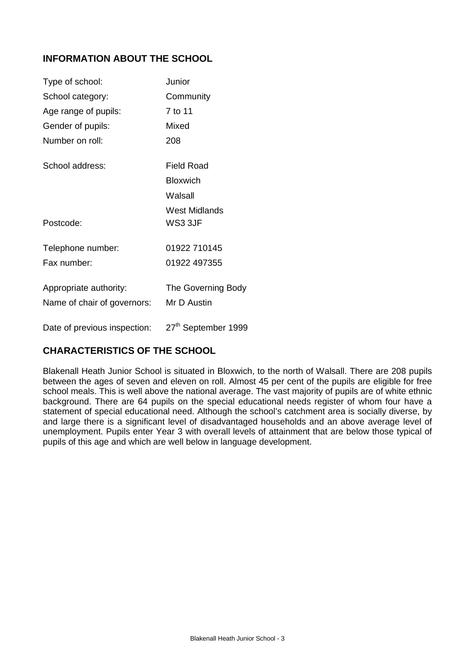# **INFORMATION ABOUT THE SCHOOL**

| Type of school:                                       | Junior                            |
|-------------------------------------------------------|-----------------------------------|
| School category:                                      | Community                         |
| Age range of pupils:                                  | 7 to 11                           |
| Gender of pupils:                                     | Mixed                             |
| Number on roll:                                       | 208                               |
| School address:                                       | Field Road                        |
|                                                       | <b>Bloxwich</b>                   |
|                                                       | Walsall                           |
| Postcode:                                             | West Midlands<br>WS33JF           |
| Telephone number:                                     | 01922 710145                      |
| Fax number:                                           | 01922 497355                      |
| Appropriate authority:<br>Name of chair of governors: | The Governing Body<br>Mr D Austin |
| Date of previous inspection:                          | 27 <sup>th</sup> September 1999   |

# **CHARACTERISTICS OF THE SCHOOL**

Blakenall Heath Junior School is situated in Bloxwich, to the north of Walsall. There are 208 pupils between the ages of seven and eleven on roll. Almost 45 per cent of the pupils are eligible for free school meals. This is well above the national average. The vast majority of pupils are of white ethnic background. There are 64 pupils on the special educational needs register of whom four have a statement of special educational need. Although the school's catchment area is socially diverse, by and large there is a significant level of disadvantaged households and an above average level of unemployment. Pupils enter Year 3 with overall levels of attainment that are below those typical of pupils of this age and which are well below in language development.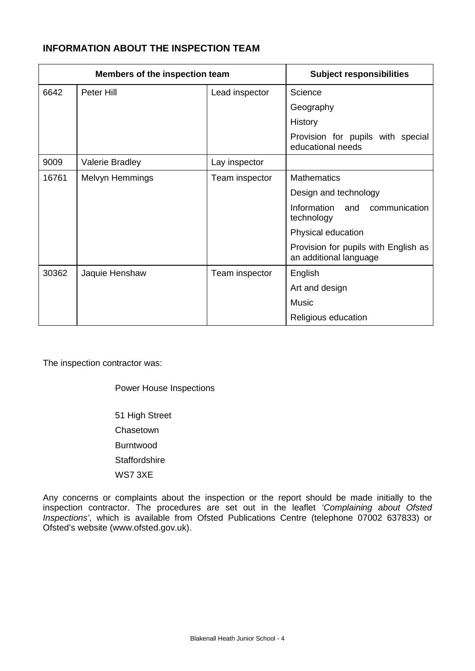# **INFORMATION ABOUT THE INSPECTION TEAM**

| Members of the inspection team |                        | <b>Subject responsibilities</b> |                                                                |
|--------------------------------|------------------------|---------------------------------|----------------------------------------------------------------|
| 6642                           | Peter Hill             | Lead inspector                  | Science                                                        |
|                                |                        |                                 | Geography                                                      |
|                                |                        |                                 | History                                                        |
|                                |                        |                                 | Provision for pupils with special<br>educational needs         |
| 9009                           | <b>Valerie Bradley</b> | Lay inspector                   |                                                                |
| 16761                          | Melvyn Hemmings        | Team inspector                  | <b>Mathematics</b>                                             |
|                                |                        |                                 | Design and technology                                          |
|                                |                        |                                 | Information<br>communication<br>and<br>technology              |
|                                |                        |                                 | Physical education                                             |
|                                |                        |                                 | Provision for pupils with English as<br>an additional language |
| 30362                          | Jaquie Henshaw         | Team inspector                  | English                                                        |
|                                |                        |                                 | Art and design                                                 |
|                                |                        |                                 | <b>Music</b>                                                   |
|                                |                        |                                 | Religious education                                            |

The inspection contractor was:

Power House Inspections

51 High Street Chasetown Burntwood **Staffordshire** WS7 3XE

Any concerns or complaints about the inspection or the report should be made initially to the inspection contractor. The procedures are set out in the leaflet *'Complaining about Ofsted Inspections'*, which is available from Ofsted Publications Centre (telephone 07002 637833) or Ofsted's website (www.ofsted.gov.uk).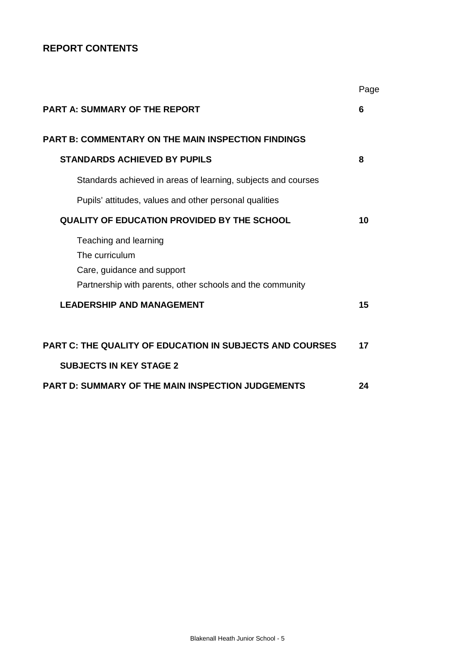# **REPORT CONTENTS**

|                                                                 | Page |
|-----------------------------------------------------------------|------|
| <b>PART A: SUMMARY OF THE REPORT</b>                            | 6    |
| <b>PART B: COMMENTARY ON THE MAIN INSPECTION FINDINGS</b>       |      |
| <b>STANDARDS ACHIEVED BY PUPILS</b>                             | 8    |
| Standards achieved in areas of learning, subjects and courses   |      |
| Pupils' attitudes, values and other personal qualities          |      |
| QUALITY OF EDUCATION PROVIDED BY THE SCHOOL                     | 10   |
| Teaching and learning                                           |      |
| The curriculum                                                  |      |
| Care, guidance and support                                      |      |
| Partnership with parents, other schools and the community       |      |
| <b>LEADERSHIP AND MANAGEMENT</b>                                | 15   |
| <b>PART C: THE QUALITY OF EDUCATION IN SUBJECTS AND COURSES</b> | 17   |
| <b>SUBJECTS IN KEY STAGE 2</b>                                  |      |
| <b>PART D: SUMMARY OF THE MAIN INSPECTION JUDGEMENTS</b>        | 24   |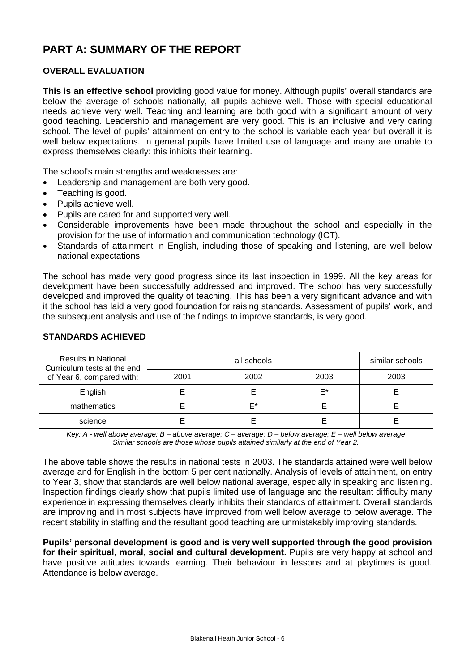# **PART A: SUMMARY OF THE REPORT**

### **OVERALL EVALUATION**

**This is an effective school** providing good value for money. Although pupils' overall standards are below the average of schools nationally, all pupils achieve well. Those with special educational needs achieve very well. Teaching and learning are both good with a significant amount of very good teaching. Leadership and management are very good. This is an inclusive and very caring school. The level of pupils' attainment on entry to the school is variable each year but overall it is well below expectations. In general pupils have limited use of language and many are unable to express themselves clearly: this inhibits their learning.

The school's main strengths and weaknesses are:

- Leadership and management are both very good.
- Teaching is good.
- Pupils achieve well.
- Pupils are cared for and supported very well.
- Considerable improvements have been made throughout the school and especially in the provision for the use of information and communication technology (ICT).
- Standards of attainment in English, including those of speaking and listening, are well below national expectations.

The school has made very good progress since its last inspection in 1999. All the key areas for development have been successfully addressed and improved. The school has very successfully developed and improved the quality of teaching. This has been a very significant advance and with it the school has laid a very good foundation for raising standards. Assessment of pupils' work, and the subsequent analysis and use of the findings to improve standards, is very good.

| <b>Results in National</b><br>Curriculum tests at the end |      | similar schools |      |      |
|-----------------------------------------------------------|------|-----------------|------|------|
| of Year 6, compared with:                                 | 2001 | 2002            | 2003 | 2003 |
| English                                                   |      |                 | F*   |      |
| mathematics                                               |      | F*              |      |      |
| science                                                   |      |                 |      |      |

#### **STANDARDS ACHIEVED**

*Key: A - well above average; B – above average; C – average; D – below average; E – well below average Similar schools are those whose pupils attained similarly at the end of Year 2.*

The above table shows the results in national tests in 2003. The standards attained were well below average and for English in the bottom 5 per cent nationally. Analysis of levels of attainment, on entry to Year 3, show that standards are well below national average, especially in speaking and listening. Inspection findings clearly show that pupils limited use of language and the resultant difficulty many experience in expressing themselves clearly inhibits their standards of attainment. Overall standards are improving and in most subjects have improved from well below average to below average. The recent stability in staffing and the resultant good teaching are unmistakably improving standards.

**Pupils' personal development is good and is very well supported through the good provision for their spiritual, moral, social and cultural development.** Pupils are very happy at school and have positive attitudes towards learning. Their behaviour in lessons and at playtimes is good. Attendance is below average.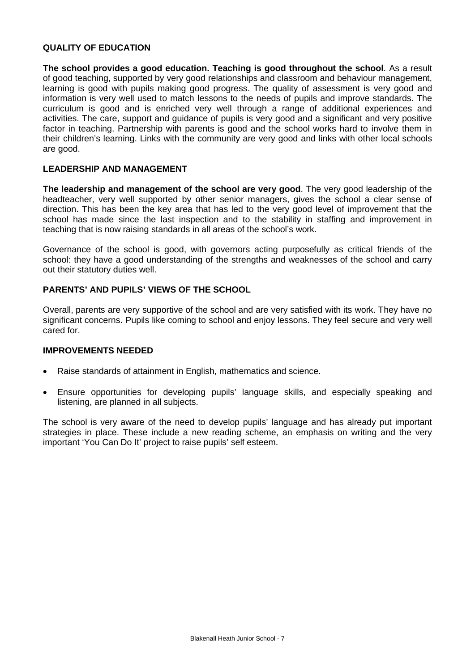#### **QUALITY OF EDUCATION**

**The school provides a good education. Teaching is good throughout the school**. As a result of good teaching, supported by very good relationships and classroom and behaviour management, learning is good with pupils making good progress. The quality of assessment is very good and information is very well used to match lessons to the needs of pupils and improve standards. The curriculum is good and is enriched very well through a range of additional experiences and activities. The care, support and guidance of pupils is very good and a significant and very positive factor in teaching. Partnership with parents is good and the school works hard to involve them in their children's learning. Links with the community are very good and links with other local schools are good.

#### **LEADERSHIP AND MANAGEMENT**

**The leadership and management of the school are very good**. The very good leadership of the headteacher, very well supported by other senior managers, gives the school a clear sense of direction. This has been the key area that has led to the very good level of improvement that the school has made since the last inspection and to the stability in staffing and improvement in teaching that is now raising standards in all areas of the school's work.

Governance of the school is good, with governors acting purposefully as critical friends of the school: they have a good understanding of the strengths and weaknesses of the school and carry out their statutory duties well.

### **PARENTS' AND PUPILS' VIEWS OF THE SCHOOL**

Overall, parents are very supportive of the school and are very satisfied with its work. They have no significant concerns. Pupils like coming to school and enjoy lessons. They feel secure and very well cared for.

#### **IMPROVEMENTS NEEDED**

- Raise standards of attainment in English, mathematics and science.
- Ensure opportunities for developing pupils' language skills, and especially speaking and listening, are planned in all subjects.

The school is very aware of the need to develop pupils' language and has already put important strategies in place. These include a new reading scheme, an emphasis on writing and the very important 'You Can Do It' project to raise pupils' self esteem.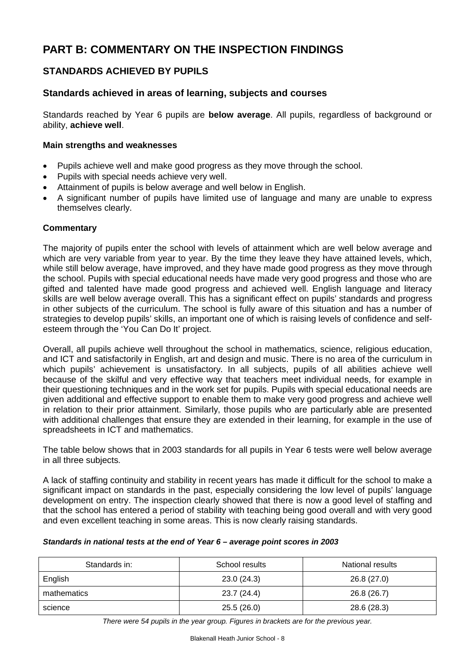# **PART B: COMMENTARY ON THE INSPECTION FINDINGS**

# **STANDARDS ACHIEVED BY PUPILS**

### **Standards achieved in areas of learning, subjects and courses**

Standards reached by Year 6 pupils are **below average**. All pupils, regardless of background or ability, **achieve well**.

#### **Main strengths and weaknesses**

- Pupils achieve well and make good progress as they move through the school.
- Pupils with special needs achieve very well.
- Attainment of pupils is below average and well below in English.
- A significant number of pupils have limited use of language and many are unable to express themselves clearly.

### **Commentary**

The majority of pupils enter the school with levels of attainment which are well below average and which are very variable from year to year. By the time they leave they have attained levels, which, while still below average, have improved, and they have made good progress as they move through the school. Pupils with special educational needs have made very good progress and those who are gifted and talented have made good progress and achieved well. English language and literacy skills are well below average overall. This has a significant effect on pupils' standards and progress in other subjects of the curriculum. The school is fully aware of this situation and has a number of strategies to develop pupils' skills, an important one of which is raising levels of confidence and selfesteem through the 'You Can Do It' project.

Overall, all pupils achieve well throughout the school in mathematics, science, religious education, and ICT and satisfactorily in English, art and design and music. There is no area of the curriculum in which pupils' achievement is unsatisfactory. In all subjects, pupils of all abilities achieve well because of the skilful and very effective way that teachers meet individual needs, for example in their questioning techniques and in the work set for pupils. Pupils with special educational needs are given additional and effective support to enable them to make very good progress and achieve well in relation to their prior attainment. Similarly, those pupils who are particularly able are presented with additional challenges that ensure they are extended in their learning, for example in the use of spreadsheets in ICT and mathematics.

The table below shows that in 2003 standards for all pupils in Year 6 tests were well below average in all three subjects.

A lack of staffing continuity and stability in recent years has made it difficult for the school to make a significant impact on standards in the past, especially considering the low level of pupils' language development on entry. The inspection clearly showed that there is now a good level of staffing and that the school has entered a period of stability with teaching being good overall and with very good and even excellent teaching in some areas. This is now clearly raising standards.

#### *Standards in national tests at the end of Year 6 – average point scores in 2003*

| Standards in: | School results | National results |
|---------------|----------------|------------------|
| English       | 23.0(24.3)     | 26.8(27.0)       |
| mathematics   | 23.7(24.4)     | 26.8 (26.7)      |
| science       | 25.5(26.0)     | 28.6 (28.3)      |

*There were 54 pupils in the year group. Figures in brackets are for the previous year.*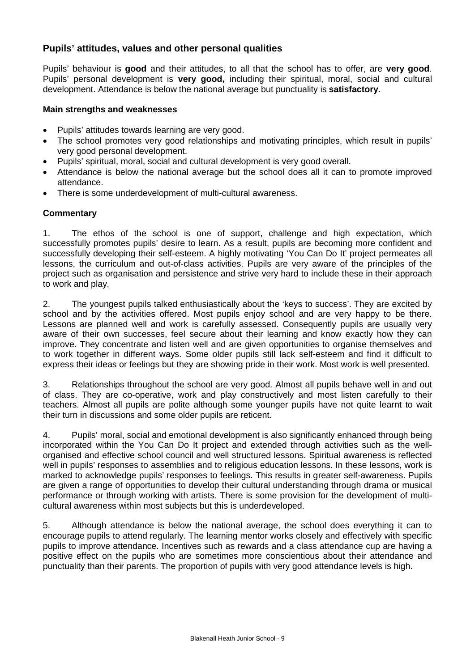### **Pupils' attitudes, values and other personal qualities**

Pupils' behaviour is **good** and their attitudes, to all that the school has to offer, are **very good**. Pupils' personal development is **very good,** including their spiritual, moral, social and cultural development. Attendance is below the national average but punctuality is **satisfactory**.

#### **Main strengths and weaknesses**

- Pupils' attitudes towards learning are very good.
- The school promotes very good relationships and motivating principles, which result in pupils' very good personal development.
- Pupils' spiritual, moral, social and cultural development is very good overall.
- Attendance is below the national average but the school does all it can to promote improved attendance.
- There is some underdevelopment of multi-cultural awareness.

### **Commentary**

1. The ethos of the school is one of support, challenge and high expectation, which successfully promotes pupils' desire to learn. As a result, pupils are becoming more confident and successfully developing their self-esteem. A highly motivating 'You Can Do It' project permeates all lessons, the curriculum and out-of-class activities. Pupils are very aware of the principles of the project such as organisation and persistence and strive very hard to include these in their approach to work and play.

2. The youngest pupils talked enthusiastically about the 'keys to success'. They are excited by school and by the activities offered. Most pupils enjoy school and are very happy to be there. Lessons are planned well and work is carefully assessed. Consequently pupils are usually very aware of their own successes, feel secure about their learning and know exactly how they can improve. They concentrate and listen well and are given opportunities to organise themselves and to work together in different ways. Some older pupils still lack self-esteem and find it difficult to express their ideas or feelings but they are showing pride in their work. Most work is well presented.

3. Relationships throughout the school are very good. Almost all pupils behave well in and out of class. They are co-operative, work and play constructively and most listen carefully to their teachers. Almost all pupils are polite although some younger pupils have not quite learnt to wait their turn in discussions and some older pupils are reticent.

4. Pupils' moral, social and emotional development is also significantly enhanced through being incorporated within the You Can Do It project and extended through activities such as the wellorganised and effective school council and well structured lessons. Spiritual awareness is reflected well in pupils' responses to assemblies and to religious education lessons. In these lessons, work is marked to acknowledge pupils' responses to feelings. This results in greater self-awareness. Pupils are given a range of opportunities to develop their cultural understanding through drama or musical performance or through working with artists. There is some provision for the development of multicultural awareness within most subjects but this is underdeveloped.

5. Although attendance is below the national average, the school does everything it can to encourage pupils to attend regularly. The learning mentor works closely and effectively with specific pupils to improve attendance. Incentives such as rewards and a class attendance cup are having a positive effect on the pupils who are sometimes more conscientious about their attendance and punctuality than their parents. The proportion of pupils with very good attendance levels is high.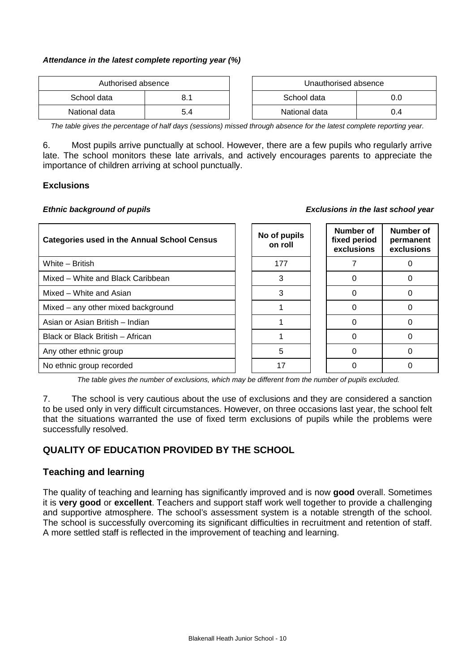#### *Attendance in the latest complete reporting year (%)*

| Authorised absence |     |  | Unauthorised absence |     |
|--------------------|-----|--|----------------------|-----|
| School data        |     |  | School data          | J.O |
| National data      | 5.4 |  | National data        | J.4 |

*The table gives the percentage of half days (sessions) missed through absence for the latest complete reporting year.*

6. Most pupils arrive punctually at school. However, there are a few pupils who regularly arrive late. The school monitors these late arrivals, and actively encourages parents to appreciate the importance of children arriving at school punctually.

#### **Exclusions**

#### *Ethnic background of pupils Exclusions in the last school year*

| <b>Categories used in the Annual School Census</b> | No of pupils<br>on roll | Number of<br>fixed period<br>exclusions | Number of<br>permanent<br>exclusions |
|----------------------------------------------------|-------------------------|-----------------------------------------|--------------------------------------|
| White - British                                    | 177                     |                                         |                                      |
| Mixed - White and Black Caribbean                  | 3                       | 0                                       |                                      |
| Mixed - White and Asian                            | 3                       | $\Omega$                                |                                      |
| Mixed – any other mixed background                 |                         | ∩                                       |                                      |
| Asian or Asian British - Indian                    |                         | ∩                                       |                                      |
| Black or Black British - African                   |                         | 0                                       |                                      |
| Any other ethnic group                             | 5                       | ∩                                       |                                      |
| No ethnic group recorded                           | 17                      |                                         |                                      |

*The table gives the number of exclusions, which may be different from the number of pupils excluded.*

7. The school is very cautious about the use of exclusions and they are considered a sanction to be used only in very difficult circumstances. However, on three occasions last year, the school felt that the situations warranted the use of fixed term exclusions of pupils while the problems were successfully resolved.

## **QUALITY OF EDUCATION PROVIDED BY THE SCHOOL**

### **Teaching and learning**

The quality of teaching and learning has significantly improved and is now **good** overall. Sometimes it is **very good** or **excellent**. Teachers and support staff work well together to provide a challenging and supportive atmosphere. The school's assessment system is a notable strength of the school. The school is successfully overcoming its significant difficulties in recruitment and retention of staff. A more settled staff is reflected in the improvement of teaching and learning.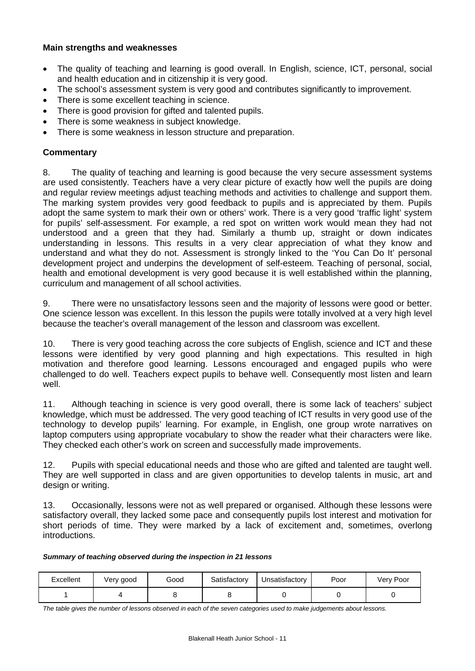#### **Main strengths and weaknesses**

- The quality of teaching and learning is good overall. In English, science, ICT, personal, social and health education and in citizenship it is very good.
- The school's assessment system is very good and contributes significantly to improvement.
- There is some excellent teaching in science.
- There is good provision for gifted and talented pupils.
- There is some weakness in subject knowledge.
- There is some weakness in lesson structure and preparation.

### **Commentary**

8. The quality of teaching and learning is good because the very secure assessment systems are used consistently. Teachers have a very clear picture of exactly how well the pupils are doing and regular review meetings adjust teaching methods and activities to challenge and support them. The marking system provides very good feedback to pupils and is appreciated by them. Pupils adopt the same system to mark their own or others' work. There is a very good 'traffic light' system for pupils' self-assessment. For example, a red spot on written work would mean they had not understood and a green that they had. Similarly a thumb up, straight or down indicates understanding in lessons. This results in a very clear appreciation of what they know and understand and what they do not. Assessment is strongly linked to the 'You Can Do It' personal development project and underpins the development of self-esteem. Teaching of personal, social, health and emotional development is very good because it is well established within the planning, curriculum and management of all school activities.

9. There were no unsatisfactory lessons seen and the majority of lessons were good or better. One science lesson was excellent. In this lesson the pupils were totally involved at a very high level because the teacher's overall management of the lesson and classroom was excellent.

10. There is very good teaching across the core subjects of English, science and ICT and these lessons were identified by very good planning and high expectations. This resulted in high motivation and therefore good learning. Lessons encouraged and engaged pupils who were challenged to do well. Teachers expect pupils to behave well. Consequently most listen and learn well.

11. Although teaching in science is very good overall, there is some lack of teachers' subject knowledge, which must be addressed. The very good teaching of ICT results in very good use of the technology to develop pupils' learning. For example, in English, one group wrote narratives on laptop computers using appropriate vocabulary to show the reader what their characters were like. They checked each other's work on screen and successfully made improvements.

12. Pupils with special educational needs and those who are gifted and talented are taught well. They are well supported in class and are given opportunities to develop talents in music, art and design or writing.

13. Occasionally, lessons were not as well prepared or organised. Although these lessons were satisfactory overall, they lacked some pace and consequently pupils lost interest and motivation for short periods of time. They were marked by a lack of excitement and, sometimes, overlong introductions.

#### *Summary of teaching observed during the inspection in 21 lessons*

| Excellent | Very good | Good | Satisfactory | Unsatisfactory | Poor | Very Poor |
|-----------|-----------|------|--------------|----------------|------|-----------|
|           |           |      |              |                |      |           |

*The table gives the number of lessons observed in each of the seven categories used to make judgements about lessons.*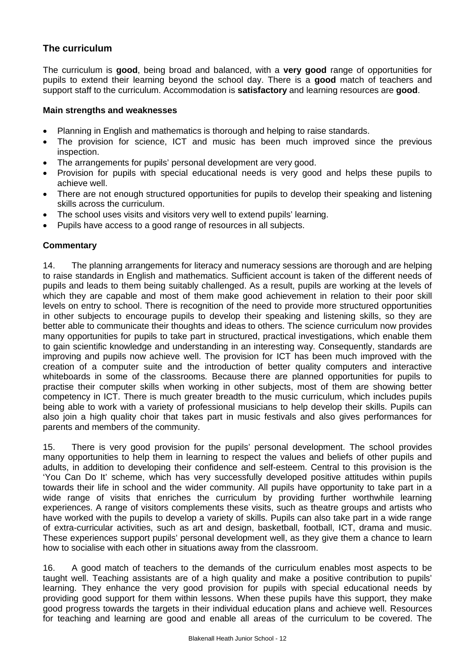## **The curriculum**

The curriculum is **good**, being broad and balanced, with a **very good** range of opportunities for pupils to extend their learning beyond the school day. There is a **good** match of teachers and support staff to the curriculum. Accommodation is **satisfactory** and learning resources are **good**.

### **Main strengths and weaknesses**

- Planning in English and mathematics is thorough and helping to raise standards.
- The provision for science, ICT and music has been much improved since the previous inspection.
- The arrangements for pupils' personal development are very good.
- Provision for pupils with special educational needs is very good and helps these pupils to achieve well.
- There are not enough structured opportunities for pupils to develop their speaking and listening skills across the curriculum.
- The school uses visits and visitors very well to extend pupils' learning.
- Pupils have access to a good range of resources in all subjects.

### **Commentary**

14. The planning arrangements for literacy and numeracy sessions are thorough and are helping to raise standards in English and mathematics. Sufficient account is taken of the different needs of pupils and leads to them being suitably challenged. As a result, pupils are working at the levels of which they are capable and most of them make good achievement in relation to their poor skill levels on entry to school. There is recognition of the need to provide more structured opportunities in other subjects to encourage pupils to develop their speaking and listening skills, so they are better able to communicate their thoughts and ideas to others. The science curriculum now provides many opportunities for pupils to take part in structured, practical investigations, which enable them to gain scientific knowledge and understanding in an interesting way. Consequently, standards are improving and pupils now achieve well. The provision for ICT has been much improved with the creation of a computer suite and the introduction of better quality computers and interactive whiteboards in some of the classrooms. Because there are planned opportunities for pupils to practise their computer skills when working in other subjects, most of them are showing better competency in ICT. There is much greater breadth to the music curriculum, which includes pupils being able to work with a variety of professional musicians to help develop their skills. Pupils can also join a high quality choir that takes part in music festivals and also gives performances for parents and members of the community.

15. There is very good provision for the pupils' personal development. The school provides many opportunities to help them in learning to respect the values and beliefs of other pupils and adults, in addition to developing their confidence and self-esteem. Central to this provision is the 'You Can Do It' scheme, which has very successfully developed positive attitudes within pupils towards their life in school and the wider community. All pupils have opportunity to take part in a wide range of visits that enriches the curriculum by providing further worthwhile learning experiences. A range of visitors complements these visits, such as theatre groups and artists who have worked with the pupils to develop a variety of skills. Pupils can also take part in a wide range of extra-curricular activities, such as art and design, basketball, football, ICT, drama and music. These experiences support pupils' personal development well, as they give them a chance to learn how to socialise with each other in situations away from the classroom.

16. A good match of teachers to the demands of the curriculum enables most aspects to be taught well. Teaching assistants are of a high quality and make a positive contribution to pupils' learning. They enhance the very good provision for pupils with special educational needs by providing good support for them within lessons. When these pupils have this support, they make good progress towards the targets in their individual education plans and achieve well. Resources for teaching and learning are good and enable all areas of the curriculum to be covered. The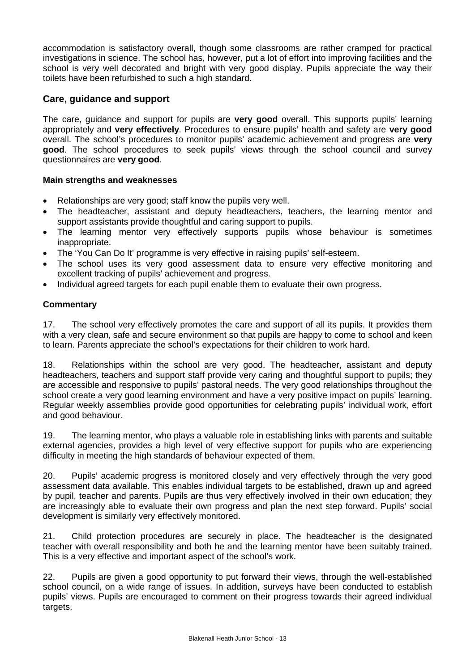accommodation is satisfactory overall, though some classrooms are rather cramped for practical investigations in science. The school has, however, put a lot of effort into improving facilities and the school is very well decorated and bright with very good display. Pupils appreciate the way their toilets have been refurbished to such a high standard.

## **Care, guidance and support**

The care, guidance and support for pupils are **very good** overall. This supports pupils' learning appropriately and **very effectively**. Procedures to ensure pupils' health and safety are **very good** overall. The school's procedures to monitor pupils' academic achievement and progress are **very good**. The school procedures to seek pupils' views through the school council and survey questionnaires are **very good**.

### **Main strengths and weaknesses**

- Relationships are very good; staff know the pupils very well.
- The headteacher, assistant and deputy headteachers, teachers, the learning mentor and support assistants provide thoughtful and caring support to pupils.
- The learning mentor very effectively supports pupils whose behaviour is sometimes inappropriate.
- The 'You Can Do It' programme is very effective in raising pupils' self-esteem.
- The school uses its very good assessment data to ensure very effective monitoring and excellent tracking of pupils' achievement and progress.
- Individual agreed targets for each pupil enable them to evaluate their own progress.

### **Commentary**

17. The school very effectively promotes the care and support of all its pupils. It provides them with a very clean, safe and secure environment so that pupils are happy to come to school and keen to learn. Parents appreciate the school's expectations for their children to work hard.

18. Relationships within the school are very good. The headteacher, assistant and deputy headteachers, teachers and support staff provide very caring and thoughtful support to pupils; they are accessible and responsive to pupils' pastoral needs. The very good relationships throughout the school create a very good learning environment and have a very positive impact on pupils' learning. Regular weekly assemblies provide good opportunities for celebrating pupils' individual work, effort and good behaviour.

19. The learning mentor, who plays a valuable role in establishing links with parents and suitable external agencies, provides a high level of very effective support for pupils who are experiencing difficulty in meeting the high standards of behaviour expected of them.

20. Pupils' academic progress is monitored closely and very effectively through the very good assessment data available. This enables individual targets to be established, drawn up and agreed by pupil, teacher and parents. Pupils are thus very effectively involved in their own education; they are increasingly able to evaluate their own progress and plan the next step forward. Pupils' social development is similarly very effectively monitored.

21. Child protection procedures are securely in place. The headteacher is the designated teacher with overall responsibility and both he and the learning mentor have been suitably trained. This is a very effective and important aspect of the school's work.

22. Pupils are given a good opportunity to put forward their views, through the well-established school council, on a wide range of issues. In addition, surveys have been conducted to establish pupils' views. Pupils are encouraged to comment on their progress towards their agreed individual targets.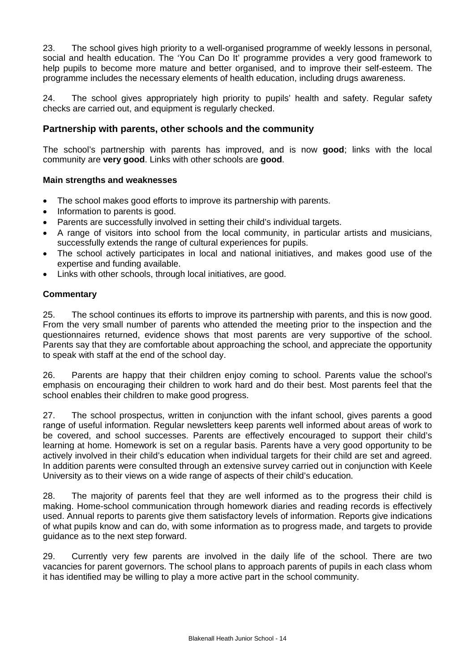23. The school gives high priority to a well-organised programme of weekly lessons in personal, social and health education. The 'You Can Do It' programme provides a very good framework to help pupils to become more mature and better organised, and to improve their self-esteem. The programme includes the necessary elements of health education, including drugs awareness.

24. The school gives appropriately high priority to pupils' health and safety. Regular safety checks are carried out, and equipment is regularly checked.

### **Partnership with parents, other schools and the community**

The school's partnership with parents has improved, and is now **good**; links with the local community are **very good**. Links with other schools are **good**.

### **Main strengths and weaknesses**

- The school makes good efforts to improve its partnership with parents.
- Information to parents is good.
- Parents are successfully involved in setting their child's individual targets.
- A range of visitors into school from the local community, in particular artists and musicians, successfully extends the range of cultural experiences for pupils.
- The school actively participates in local and national initiatives, and makes good use of the expertise and funding available.
- Links with other schools, through local initiatives, are good.

### **Commentary**

25. The school continues its efforts to improve its partnership with parents, and this is now good. From the very small number of parents who attended the meeting prior to the inspection and the questionnaires returned, evidence shows that most parents are very supportive of the school. Parents say that they are comfortable about approaching the school, and appreciate the opportunity to speak with staff at the end of the school day.

26. Parents are happy that their children enjoy coming to school. Parents value the school's emphasis on encouraging their children to work hard and do their best. Most parents feel that the school enables their children to make good progress.

27. The school prospectus, written in conjunction with the infant school, gives parents a good range of useful information. Regular newsletters keep parents well informed about areas of work to be covered, and school successes. Parents are effectively encouraged to support their child's learning at home. Homework is set on a regular basis. Parents have a very good opportunity to be actively involved in their child's education when individual targets for their child are set and agreed. In addition parents were consulted through an extensive survey carried out in conjunction with Keele University as to their views on a wide range of aspects of their child's education.

28. The majority of parents feel that they are well informed as to the progress their child is making. Home-school communication through homework diaries and reading records is effectively used. Annual reports to parents give them satisfactory levels of information. Reports give indications of what pupils know and can do, with some information as to progress made, and targets to provide guidance as to the next step forward.

29. Currently very few parents are involved in the daily life of the school. There are two vacancies for parent governors. The school plans to approach parents of pupils in each class whom it has identified may be willing to play a more active part in the school community.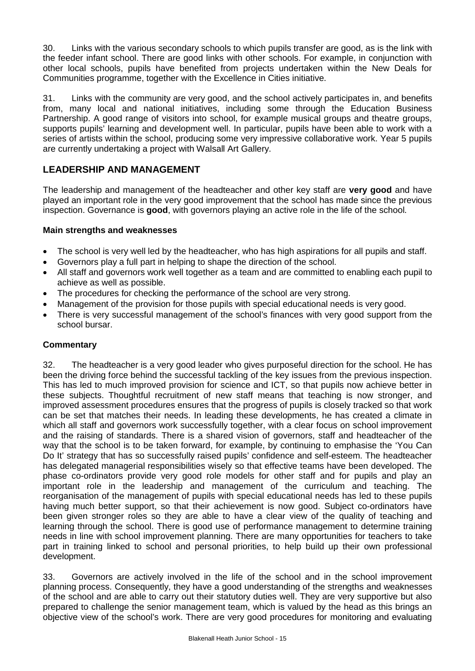30. Links with the various secondary schools to which pupils transfer are good, as is the link with the feeder infant school. There are good links with other schools. For example, in conjunction with other local schools, pupils have benefited from projects undertaken within the New Deals for Communities programme, together with the Excellence in Cities initiative.

31. Links with the community are very good, and the school actively participates in, and benefits from, many local and national initiatives, including some through the Education Business Partnership. A good range of visitors into school, for example musical groups and theatre groups, supports pupils' learning and development well. In particular, pupils have been able to work with a series of artists within the school, producing some very impressive collaborative work. Year 5 pupils are currently undertaking a project with Walsall Art Gallery.

# **LEADERSHIP AND MANAGEMENT**

The leadership and management of the headteacher and other key staff are **very good** and have played an important role in the very good improvement that the school has made since the previous inspection. Governance is **good**, with governors playing an active role in the life of the school.

### **Main strengths and weaknesses**

- The school is very well led by the headteacher, who has high aspirations for all pupils and staff.
- Governors play a full part in helping to shape the direction of the school.
- All staff and governors work well together as a team and are committed to enabling each pupil to achieve as well as possible.
- The procedures for checking the performance of the school are very strong.
- Management of the provision for those pupils with special educational needs is very good.
- There is very successful management of the school's finances with very good support from the school bursar.

### **Commentary**

32. The headteacher is a very good leader who gives purposeful direction for the school. He has been the driving force behind the successful tackling of the key issues from the previous inspection. This has led to much improved provision for science and ICT, so that pupils now achieve better in these subjects. Thoughtful recruitment of new staff means that teaching is now stronger, and improved assessment procedures ensures that the progress of pupils is closely tracked so that work can be set that matches their needs. In leading these developments, he has created a climate in which all staff and governors work successfully together, with a clear focus on school improvement and the raising of standards. There is a shared vision of governors, staff and headteacher of the way that the school is to be taken forward, for example, by continuing to emphasise the 'You Can Do It' strategy that has so successfully raised pupils' confidence and self-esteem. The headteacher has delegated managerial responsibilities wisely so that effective teams have been developed. The phase co-ordinators provide very good role models for other staff and for pupils and play an important role in the leadership and management of the curriculum and teaching. The reorganisation of the management of pupils with special educational needs has led to these pupils having much better support, so that their achievement is now good. Subject co-ordinators have been given stronger roles so they are able to have a clear view of the quality of teaching and learning through the school. There is good use of performance management to determine training needs in line with school improvement planning. There are many opportunities for teachers to take part in training linked to school and personal priorities, to help build up their own professional development.

33. Governors are actively involved in the life of the school and in the school improvement planning process. Consequently, they have a good understanding of the strengths and weaknesses of the school and are able to carry out their statutory duties well. They are very supportive but also prepared to challenge the senior management team, which is valued by the head as this brings an objective view of the school's work. There are very good procedures for monitoring and evaluating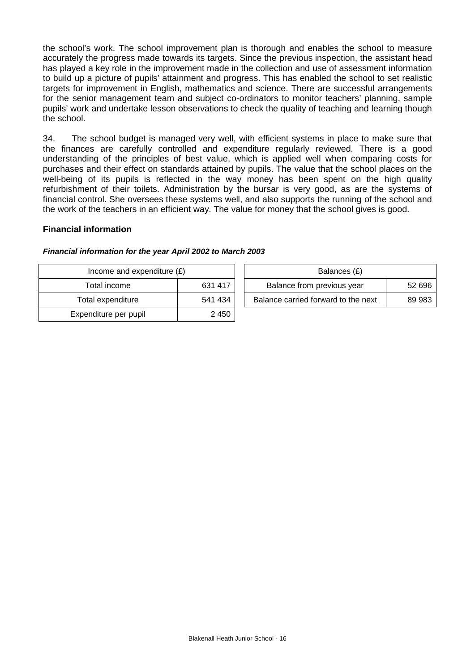the school's work. The school improvement plan is thorough and enables the school to measure accurately the progress made towards its targets. Since the previous inspection, the assistant head has played a key role in the improvement made in the collection and use of assessment information to build up a picture of pupils' attainment and progress. This has enabled the school to set realistic targets for improvement in English, mathematics and science. There are successful arrangements for the senior management team and subject co-ordinators to monitor teachers' planning, sample pupils' work and undertake lesson observations to check the quality of teaching and learning though the school.

34. The school budget is managed very well, with efficient systems in place to make sure that the finances are carefully controlled and expenditure regularly reviewed. There is a good understanding of the principles of best value, which is applied well when comparing costs for purchases and their effect on standards attained by pupils. The value that the school places on the well-being of its pupils is reflected in the way money has been spent on the high quality refurbishment of their toilets. Administration by the bursar is very good, as are the systems of financial control. She oversees these systems well, and also supports the running of the school and the work of the teachers in an efficient way. The value for money that the school gives is good.

#### **Financial information**

| Income and expenditure $(E)$ |         | Balances (£)                   |
|------------------------------|---------|--------------------------------|
| Total income                 | 631 417 | Balance from previous year     |
| Total expenditure            | 541 434 | Balance carried forward to the |
| Expenditure per pupil        | 2 4 5 0 |                                |

#### *Financial information for the year April 2002 to March 2003*

| Income and expenditure $(E)$ |         | Balances (£) |                                     |        |
|------------------------------|---------|--------------|-------------------------------------|--------|
| Total income                 | 631 417 |              | Balance from previous year          | 52 696 |
| Total expenditure            | 541 434 |              | Balance carried forward to the next | 89 983 |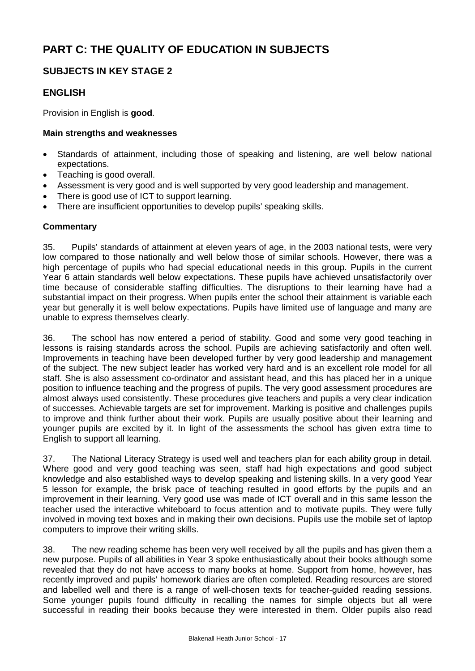# **PART C: THE QUALITY OF EDUCATION IN SUBJECTS**

# **SUBJECTS IN KEY STAGE 2**

## **ENGLISH**

Provision in English is **good**.

### **Main strengths and weaknesses**

- Standards of attainment, including those of speaking and listening, are well below national expectations.
- Teaching is good overall.
- Assessment is very good and is well supported by very good leadership and management.
- There is good use of ICT to support learning.
- There are insufficient opportunities to develop pupils' speaking skills.

### **Commentary**

35. Pupils' standards of attainment at eleven years of age, in the 2003 national tests, were very low compared to those nationally and well below those of similar schools. However, there was a high percentage of pupils who had special educational needs in this group. Pupils in the current Year 6 attain standards well below expectations. These pupils have achieved unsatisfactorily over time because of considerable staffing difficulties. The disruptions to their learning have had a substantial impact on their progress. When pupils enter the school their attainment is variable each year but generally it is well below expectations. Pupils have limited use of language and many are unable to express themselves clearly.

36. The school has now entered a period of stability. Good and some very good teaching in lessons is raising standards across the school. Pupils are achieving satisfactorily and often well. Improvements in teaching have been developed further by very good leadership and management of the subject. The new subject leader has worked very hard and is an excellent role model for all staff. She is also assessment co-ordinator and assistant head, and this has placed her in a unique position to influence teaching and the progress of pupils. The very good assessment procedures are almost always used consistently. These procedures give teachers and pupils a very clear indication of successes. Achievable targets are set for improvement. Marking is positive and challenges pupils to improve and think further about their work. Pupils are usually positive about their learning and younger pupils are excited by it. In light of the assessments the school has given extra time to English to support all learning.

37. The National Literacy Strategy is used well and teachers plan for each ability group in detail. Where good and very good teaching was seen, staff had high expectations and good subject knowledge and also established ways to develop speaking and listening skills. In a very good Year 5 lesson for example, the brisk pace of teaching resulted in good efforts by the pupils and an improvement in their learning. Very good use was made of ICT overall and in this same lesson the teacher used the interactive whiteboard to focus attention and to motivate pupils. They were fully involved in moving text boxes and in making their own decisions. Pupils use the mobile set of laptop computers to improve their writing skills.

38. The new reading scheme has been very well received by all the pupils and has given them a new purpose. Pupils of all abilities in Year 3 spoke enthusiastically about their books although some revealed that they do not have access to many books at home. Support from home, however, has recently improved and pupils' homework diaries are often completed. Reading resources are stored and labelled well and there is a range of well-chosen texts for teacher-guided reading sessions. Some younger pupils found difficulty in recalling the names for simple objects but all were successful in reading their books because they were interested in them. Older pupils also read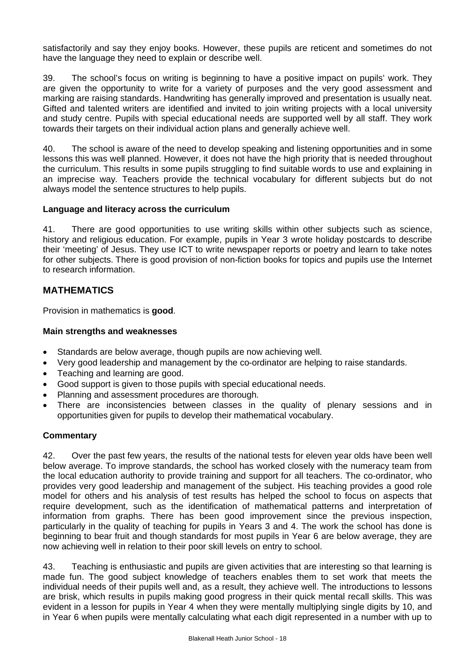satisfactorily and say they enjoy books. However, these pupils are reticent and sometimes do not have the language they need to explain or describe well.

39. The school's focus on writing is beginning to have a positive impact on pupils' work. They are given the opportunity to write for a variety of purposes and the very good assessment and marking are raising standards. Handwriting has generally improved and presentation is usually neat. Gifted and talented writers are identified and invited to join writing projects with a local university and study centre. Pupils with special educational needs are supported well by all staff. They work towards their targets on their individual action plans and generally achieve well.

40. The school is aware of the need to develop speaking and listening opportunities and in some lessons this was well planned. However, it does not have the high priority that is needed throughout the curriculum. This results in some pupils struggling to find suitable words to use and explaining in an imprecise way. Teachers provide the technical vocabulary for different subjects but do not always model the sentence structures to help pupils.

### **Language and literacy across the curriculum**

41. There are good opportunities to use writing skills within other subjects such as science, history and religious education. For example, pupils in Year 3 wrote holiday postcards to describe their 'meeting' of Jesus. They use ICT to write newspaper reports or poetry and learn to take notes for other subjects. There is good provision of non-fiction books for topics and pupils use the Internet to research information.

# **MATHEMATICS**

Provision in mathematics is **good**.

### **Main strengths and weaknesses**

- Standards are below average, though pupils are now achieving well.
- Very good leadership and management by the co-ordinator are helping to raise standards.
- Teaching and learning are good.
- Good support is given to those pupils with special educational needs.
- Planning and assessment procedures are thorough.
- There are inconsistencies between classes in the quality of plenary sessions and in opportunities given for pupils to develop their mathematical vocabulary.

### **Commentary**

42. Over the past few years, the results of the national tests for eleven year olds have been well below average. To improve standards, the school has worked closely with the numeracy team from the local education authority to provide training and support for all teachers. The co-ordinator, who provides very good leadership and management of the subject. His teaching provides a good role model for others and his analysis of test results has helped the school to focus on aspects that require development, such as the identification of mathematical patterns and interpretation of information from graphs. There has been good improvement since the previous inspection, particularly in the quality of teaching for pupils in Years 3 and 4. The work the school has done is beginning to bear fruit and though standards for most pupils in Year 6 are below average, they are now achieving well in relation to their poor skill levels on entry to school.

43. Teaching is enthusiastic and pupils are given activities that are interesting so that learning is made fun. The good subject knowledge of teachers enables them to set work that meets the individual needs of their pupils well and, as a result, they achieve well. The introductions to lessons are brisk, which results in pupils making good progress in their quick mental recall skills. This was evident in a lesson for pupils in Year 4 when they were mentally multiplying single digits by 10, and in Year 6 when pupils were mentally calculating what each digit represented in a number with up to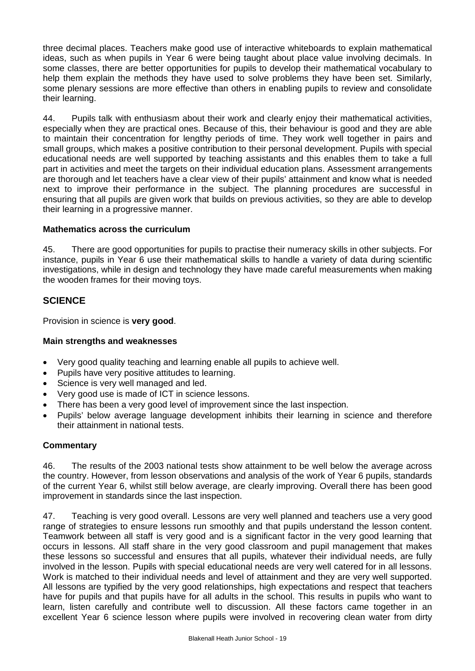three decimal places. Teachers make good use of interactive whiteboards to explain mathematical ideas, such as when pupils in Year 6 were being taught about place value involving decimals. In some classes, there are better opportunities for pupils to develop their mathematical vocabulary to help them explain the methods they have used to solve problems they have been set. Similarly, some plenary sessions are more effective than others in enabling pupils to review and consolidate their learning.

44. Pupils talk with enthusiasm about their work and clearly enjoy their mathematical activities, especially when they are practical ones. Because of this, their behaviour is good and they are able to maintain their concentration for lengthy periods of time. They work well together in pairs and small groups, which makes a positive contribution to their personal development. Pupils with special educational needs are well supported by teaching assistants and this enables them to take a full part in activities and meet the targets on their individual education plans. Assessment arrangements are thorough and let teachers have a clear view of their pupils' attainment and know what is needed next to improve their performance in the subject. The planning procedures are successful in ensuring that all pupils are given work that builds on previous activities, so they are able to develop their learning in a progressive manner.

### **Mathematics across the curriculum**

45. There are good opportunities for pupils to practise their numeracy skills in other subjects. For instance, pupils in Year 6 use their mathematical skills to handle a variety of data during scientific investigations, while in design and technology they have made careful measurements when making the wooden frames for their moving toys.

### **SCIENCE**

Provision in science is **very good**.

### **Main strengths and weaknesses**

- Very good quality teaching and learning enable all pupils to achieve well.
- Pupils have very positive attitudes to learning.
- Science is very well managed and led.
- Very good use is made of ICT in science lessons.
- There has been a very good level of improvement since the last inspection.
- Pupils' below average language development inhibits their learning in science and therefore their attainment in national tests.

### **Commentary**

46. The results of the 2003 national tests show attainment to be well below the average across the country. However, from lesson observations and analysis of the work of Year 6 pupils, standards of the current Year 6, whilst still below average, are clearly improving. Overall there has been good improvement in standards since the last inspection.

47. Teaching is very good overall. Lessons are very well planned and teachers use a very good range of strategies to ensure lessons run smoothly and that pupils understand the lesson content. Teamwork between all staff is very good and is a significant factor in the very good learning that occurs in lessons. All staff share in the very good classroom and pupil management that makes these lessons so successful and ensures that all pupils, whatever their individual needs, are fully involved in the lesson. Pupils with special educational needs are very well catered for in all lessons. Work is matched to their individual needs and level of attainment and they are very well supported. All lessons are typified by the very good relationships, high expectations and respect that teachers have for pupils and that pupils have for all adults in the school. This results in pupils who want to learn, listen carefully and contribute well to discussion. All these factors came together in an excellent Year 6 science lesson where pupils were involved in recovering clean water from dirty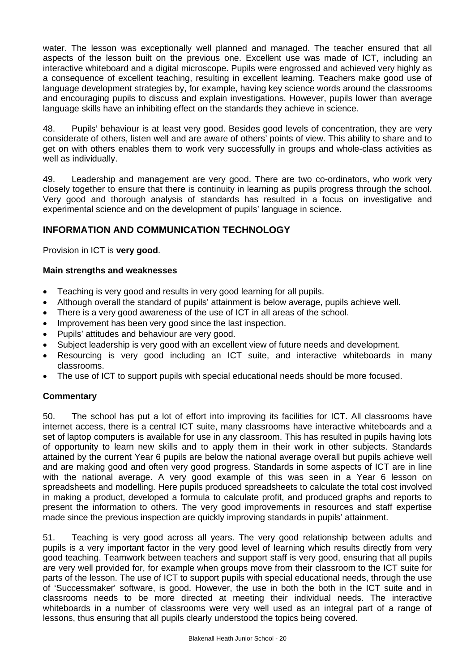water. The lesson was exceptionally well planned and managed. The teacher ensured that all aspects of the lesson built on the previous one. Excellent use was made of ICT, including an interactive whiteboard and a digital microscope. Pupils were engrossed and achieved very highly as a consequence of excellent teaching, resulting in excellent learning. Teachers make good use of language development strategies by, for example, having key science words around the classrooms and encouraging pupils to discuss and explain investigations. However, pupils lower than average language skills have an inhibiting effect on the standards they achieve in science.

48. Pupils' behaviour is at least very good. Besides good levels of concentration, they are very considerate of others, listen well and are aware of others' points of view. This ability to share and to get on with others enables them to work very successfully in groups and whole-class activities as well as individually.

49. Leadership and management are very good. There are two co-ordinators, who work very closely together to ensure that there is continuity in learning as pupils progress through the school. Very good and thorough analysis of standards has resulted in a focus on investigative and experimental science and on the development of pupils' language in science.

## **INFORMATION AND COMMUNICATION TECHNOLOGY**

Provision in ICT is **very good**.

### **Main strengths and weaknesses**

- Teaching is very good and results in very good learning for all pupils.
- Although overall the standard of pupils' attainment is below average, pupils achieve well.
- There is a very good awareness of the use of ICT in all areas of the school.
- Improvement has been very good since the last inspection.
- Pupils' attitudes and behaviour are very good.
- Subject leadership is very good with an excellent view of future needs and development.
- Resourcing is very good including an ICT suite, and interactive whiteboards in many classrooms.
- The use of ICT to support pupils with special educational needs should be more focused.

### **Commentary**

50. The school has put a lot of effort into improving its facilities for ICT. All classrooms have internet access, there is a central ICT suite, many classrooms have interactive whiteboards and a set of laptop computers is available for use in any classroom. This has resulted in pupils having lots of opportunity to learn new skills and to apply them in their work in other subjects. Standards attained by the current Year 6 pupils are below the national average overall but pupils achieve well and are making good and often very good progress. Standards in some aspects of ICT are in line with the national average. A very good example of this was seen in a Year 6 lesson on spreadsheets and modelling. Here pupils produced spreadsheets to calculate the total cost involved in making a product, developed a formula to calculate profit, and produced graphs and reports to present the information to others. The very good improvements in resources and staff expertise made since the previous inspection are quickly improving standards in pupils' attainment.

51. Teaching is very good across all years. The very good relationship between adults and pupils is a very important factor in the very good level of learning which results directly from very good teaching. Teamwork between teachers and support staff is very good, ensuring that all pupils are very well provided for, for example when groups move from their classroom to the ICT suite for parts of the lesson. The use of ICT to support pupils with special educational needs, through the use of 'Successmaker' software, is good. However, the use in both the both in the ICT suite and in classrooms needs to be more directed at meeting their individual needs. The interactive whiteboards in a number of classrooms were very well used as an integral part of a range of lessons, thus ensuring that all pupils clearly understood the topics being covered.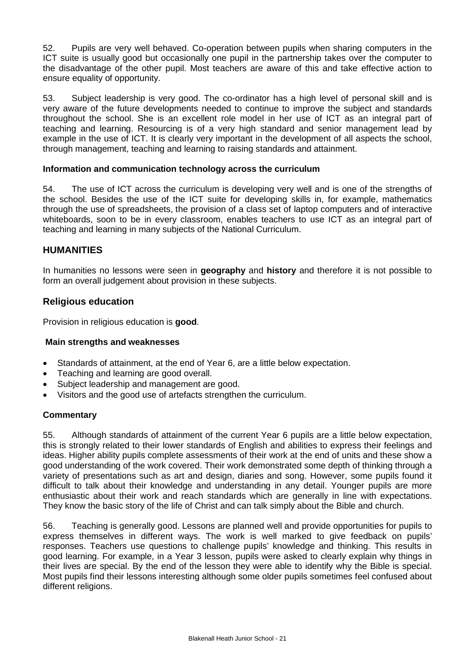52. Pupils are very well behaved. Co-operation between pupils when sharing computers in the ICT suite is usually good but occasionally one pupil in the partnership takes over the computer to the disadvantage of the other pupil. Most teachers are aware of this and take effective action to ensure equality of opportunity.

53. Subject leadership is very good. The co-ordinator has a high level of personal skill and is very aware of the future developments needed to continue to improve the subject and standards throughout the school. She is an excellent role model in her use of ICT as an integral part of teaching and learning. Resourcing is of a very high standard and senior management lead by example in the use of ICT. It is clearly very important in the development of all aspects the school, through management, teaching and learning to raising standards and attainment.

### **Information and communication technology across the curriculum**

54. The use of ICT across the curriculum is developing very well and is one of the strengths of the school. Besides the use of the ICT suite for developing skills in, for example, mathematics through the use of spreadsheets, the provision of a class set of laptop computers and of interactive whiteboards, soon to be in every classroom, enables teachers to use ICT as an integral part of teaching and learning in many subjects of the National Curriculum.

### **HUMANITIES**

In humanities no lessons were seen in **geography** and **history** and therefore it is not possible to form an overall judgement about provision in these subjects.

### **Religious education**

Provision in religious education is **good**.

### **Main strengths and weaknesses**

- Standards of attainment, at the end of Year 6, are a little below expectation.
- Teaching and learning are good overall.
- Subject leadership and management are good.
- Visitors and the good use of artefacts strengthen the curriculum.

### **Commentary**

55. Although standards of attainment of the current Year 6 pupils are a little below expectation, this is strongly related to their lower standards of English and abilities to express their feelings and ideas. Higher ability pupils complete assessments of their work at the end of units and these show a good understanding of the work covered. Their work demonstrated some depth of thinking through a variety of presentations such as art and design, diaries and song. However, some pupils found it difficult to talk about their knowledge and understanding in any detail. Younger pupils are more enthusiastic about their work and reach standards which are generally in line with expectations. They know the basic story of the life of Christ and can talk simply about the Bible and church.

56. Teaching is generally good. Lessons are planned well and provide opportunities for pupils to express themselves in different ways. The work is well marked to give feedback on pupils' responses. Teachers use questions to challenge pupils' knowledge and thinking. This results in good learning. For example, in a Year 3 lesson, pupils were asked to clearly explain why things in their lives are special. By the end of the lesson they were able to identify why the Bible is special. Most pupils find their lessons interesting although some older pupils sometimes feel confused about different religions.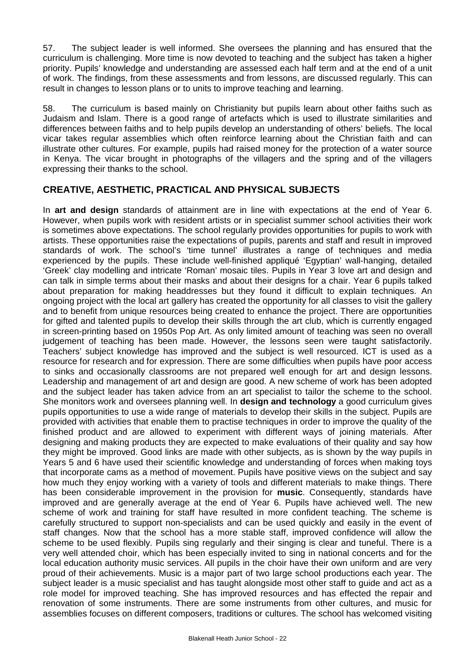57. The subject leader is well informed. She oversees the planning and has ensured that the curriculum is challenging. More time is now devoted to teaching and the subject has taken a higher priority. Pupils' knowledge and understanding are assessed each half term and at the end of a unit of work. The findings, from these assessments and from lessons, are discussed regularly. This can result in changes to lesson plans or to units to improve teaching and learning.

58. The curriculum is based mainly on Christianity but pupils learn about other faiths such as Judaism and Islam. There is a good range of artefacts which is used to illustrate similarities and differences between faiths and to help pupils develop an understanding of others' beliefs. The local vicar takes regular assemblies which often reinforce learning about the Christian faith and can illustrate other cultures. For example, pupils had raised money for the protection of a water source in Kenya. The vicar brought in photographs of the villagers and the spring and of the villagers expressing their thanks to the school.

## **CREATIVE, AESTHETIC, PRACTICAL AND PHYSICAL SUBJECTS**

In **art and design** standards of attainment are in line with expectations at the end of Year 6. However, when pupils work with resident artists or in specialist summer school activities their work is sometimes above expectations. The school regularly provides opportunities for pupils to work with artists. These opportunities raise the expectations of pupils, parents and staff and result in improved standards of work. The school's 'time tunnel' illustrates a range of techniques and media experienced by the pupils. These include well-finished appliqué 'Egyptian' wall-hanging, detailed 'Greek' clay modelling and intricate 'Roman' mosaic tiles. Pupils in Year 3 love art and design and can talk in simple terms about their masks and about their designs for a chair. Year 6 pupils talked about preparation for making headdresses but they found it difficult to explain techniques. An ongoing project with the local art gallery has created the opportunity for all classes to visit the gallery and to benefit from unique resources being created to enhance the project. There are opportunities for gifted and talented pupils to develop their skills through the art club, which is currently engaged in screen-printing based on 1950s Pop Art. As only limited amount of teaching was seen no overall judgement of teaching has been made. However, the lessons seen were taught satisfactorily. Teachers' subject knowledge has improved and the subject is well resourced. ICT is used as a resource for research and for expression. There are some difficulties when pupils have poor access to sinks and occasionally classrooms are not prepared well enough for art and design lessons. Leadership and management of art and design are good. A new scheme of work has been adopted and the subject leader has taken advice from an art specialist to tailor the scheme to the school. She monitors work and oversees planning well. In **design and technology** a good curriculum gives pupils opportunities to use a wide range of materials to develop their skills in the subject. Pupils are provided with activities that enable them to practise techniques in order to improve the quality of the finished product and are allowed to experiment with different ways of joining materials. After designing and making products they are expected to make evaluations of their quality and say how they might be improved. Good links are made with other subjects, as is shown by the way pupils in Years 5 and 6 have used their scientific knowledge and understanding of forces when making toys that incorporate cams as a method of movement. Pupils have positive views on the subject and say how much they enjoy working with a variety of tools and different materials to make things. There has been considerable improvement in the provision for **music**. Consequently, standards have improved and are generally average at the end of Year 6. Pupils have achieved well. The new scheme of work and training for staff have resulted in more confident teaching. The scheme is carefully structured to support non-specialists and can be used quickly and easily in the event of staff changes. Now that the school has a more stable staff, improved confidence will allow the scheme to be used flexibly. Pupils sing regularly and their singing is clear and tuneful. There is a very well attended choir, which has been especially invited to sing in national concerts and for the local education authority music services. All pupils in the choir have their own uniform and are very proud of their achievements. Music is a major part of two large school productions each year. The subject leader is a music specialist and has taught alongside most other staff to guide and act as a role model for improved teaching. She has improved resources and has effected the repair and renovation of some instruments. There are some instruments from other cultures, and music for assemblies focuses on different composers, traditions or cultures. The school has welcomed visiting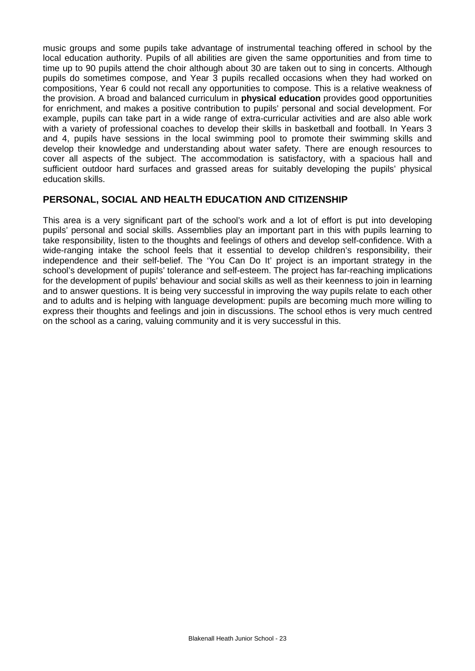music groups and some pupils take advantage of instrumental teaching offered in school by the local education authority. Pupils of all abilities are given the same opportunities and from time to time up to 90 pupils attend the choir although about 30 are taken out to sing in concerts. Although pupils do sometimes compose, and Year 3 pupils recalled occasions when they had worked on compositions, Year 6 could not recall any opportunities to compose. This is a relative weakness of the provision. A broad and balanced curriculum in **physical education** provides good opportunities for enrichment, and makes a positive contribution to pupils' personal and social development. For example, pupils can take part in a wide range of extra-curricular activities and are also able work with a variety of professional coaches to develop their skills in basketball and football. In Years 3 and 4, pupils have sessions in the local swimming pool to promote their swimming skills and develop their knowledge and understanding about water safety. There are enough resources to cover all aspects of the subject. The accommodation is satisfactory, with a spacious hall and sufficient outdoor hard surfaces and grassed areas for suitably developing the pupils' physical education skills.

### **PERSONAL, SOCIAL AND HEALTH EDUCATION AND CITIZENSHIP**

This area is a very significant part of the school's work and a lot of effort is put into developing pupils' personal and social skills. Assemblies play an important part in this with pupils learning to take responsibility, listen to the thoughts and feelings of others and develop self-confidence. With a wide-ranging intake the school feels that it essential to develop children's responsibility, their independence and their self-belief. The 'You Can Do It' project is an important strategy in the school's development of pupils' tolerance and self-esteem. The project has far-reaching implications for the development of pupils' behaviour and social skills as well as their keenness to join in learning and to answer questions. It is being very successful in improving the way pupils relate to each other and to adults and is helping with language development: pupils are becoming much more willing to express their thoughts and feelings and join in discussions. The school ethos is very much centred on the school as a caring, valuing community and it is very successful in this.